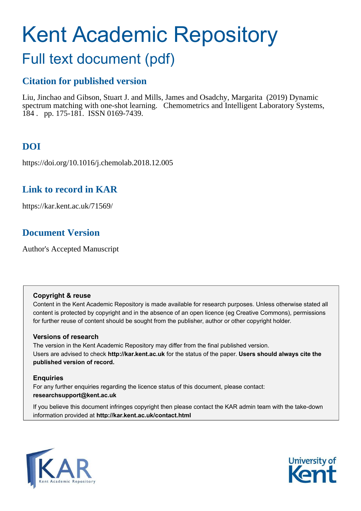# Kent Academic Repository

## Full text document (pdf)

## **Citation for published version**

Liu, Jinchao and Gibson, Stuart J. and Mills, James and Osadchy, Margarita (2019) Dynamic spectrum matching with one-shot learning. Chemometrics and Intelligent Laboratory Systems, 184 . pp. 175-181. ISSN 0169-7439.

## **DOI**

https://doi.org/10.1016/j.chemolab.2018.12.005

## **Link to record in KAR**

https://kar.kent.ac.uk/71569/

## **Document Version**

Author's Accepted Manuscript

#### **Copyright & reuse**

Content in the Kent Academic Repository is made available for research purposes. Unless otherwise stated all content is protected by copyright and in the absence of an open licence (eg Creative Commons), permissions for further reuse of content should be sought from the publisher, author or other copyright holder.

#### **Versions of research**

The version in the Kent Academic Repository may differ from the final published version. Users are advised to check **http://kar.kent.ac.uk** for the status of the paper. **Users should always cite the published version of record.**

#### **Enquiries**

For any further enquiries regarding the licence status of this document, please contact: **researchsupport@kent.ac.uk**

If you believe this document infringes copyright then please contact the KAR admin team with the take-down information provided at **http://kar.kent.ac.uk/contact.html**



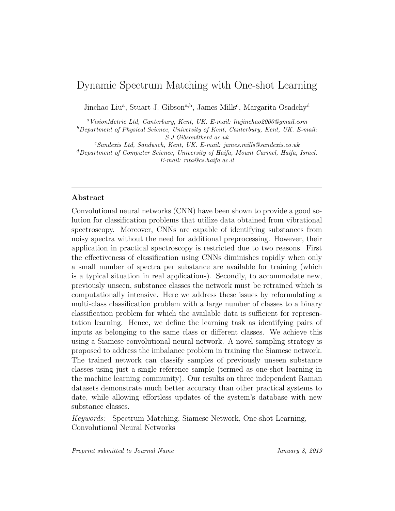### Dynamic Spectrum Matching with One-shot Learning

Jinchao Liu<sup>a</sup>, Stuart J. Gibson<sup>a,b</sup>, James Mills<sup>c</sup>, Margarita Osadchy<sup>d</sup>

<sup>a</sup>*VisionMetric Ltd, Canterbury, Kent, UK. E-mail: liujinchao2000@gmail.com*

<sup>b</sup>*Department of Physical Science, University of Kent, Canterbury, Kent, UK. E-mail: S.J.Gibson@kent.ac.uk*

<sup>c</sup>*Sandexis Ltd, Sandwich, Kent, UK. E-mail: james.mills@sandexis.co.uk*

<sup>d</sup>*Department of Computer Science, University of Haifa, Mount Carmel, Haifa, Israel. E-mail: rita@cs.haifa.ac.il*

#### Abstract

Convolutional neural networks (CNN) have been shown to provide a good solution for classification problems that utilize data obtained from vibrational spectroscopy. Moreover, CNNs are capable of identifying substances from noisy spectra without the need for additional preprocessing. However, their application in practical spectroscopy is restricted due to two reasons. First the effectiveness of classification using CNNs diminishes rapidly when only a small number of spectra per substance are available for training (which is a typical situation in real applications). Secondly, to accommodate new, previously unseen, substance classes the network must be retrained which is computationally intensive. Here we address these issues by reformulating a multi-class classification problem with a large number of classes to a binary classification problem for which the available data is sufficient for representation learning. Hence, we define the learning task as identifying pairs of inputs as belonging to the same class or different classes. We achieve this using a Siamese convolutional neural network. A novel sampling strategy is proposed to address the imbalance problem in training the Siamese network. The trained network can classify samples of previously unseen substance classes using just a single reference sample (termed as one-shot learning in the machine learning community). Our results on three independent Raman datasets demonstrate much better accuracy than other practical systems to date, while allowing effortless updates of the system's database with new substance classes.

*Keywords:* Spectrum Matching, Siamese Network, One-shot Learning, Convolutional Neural Networks

*Preprint submitted to Journal Name January 8, 2019*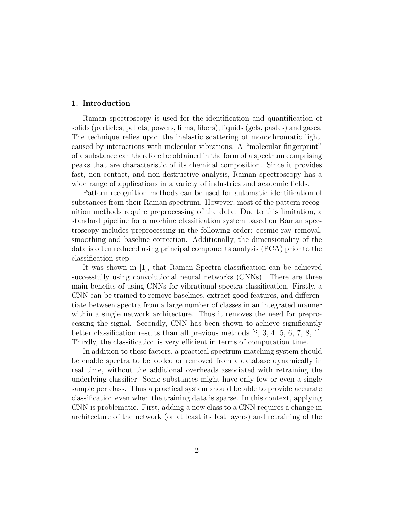#### 1. Introduction

Raman spectroscopy is used for the identification and quantification of solids (particles, pellets, powers, films, fibers), liquids (gels, pastes) and gases. The technique relies upon the inelastic scattering of monochromatic light, caused by interactions with molecular vibrations. A "molecular fingerprint" of a substance can therefore be obtained in the form of a spectrum comprising peaks that are characteristic of its chemical composition. Since it provides fast, non-contact, and non-destructive analysis, Raman spectroscopy has a wide range of applications in a variety of industries and academic fields.

Pattern recognition methods can be used for automatic identification of substances from their Raman spectrum. However, most of the pattern recognition methods require preprocessing of the data. Due to this limitation, a standard pipeline for a machine classification system based on Raman spectroscopy includes preprocessing in the following order: cosmic ray removal, smoothing and baseline correction. Additionally, the dimensionality of the data is often reduced using principal components analysis (PCA) prior to the classification step.

It was shown in [1], that Raman Spectra classification can be achieved successfully using convolutional neural networks (CNNs). There are three main benefits of using CNNs for vibrational spectra classification. Firstly, a CNN can be trained to remove baselines, extract good features, and differentiate between spectra from a large number of classes in an integrated manner within a single network architecture. Thus it removes the need for preprocessing the signal. Secondly, CNN has been shown to achieve significantly better classification results than all previous methods [2, 3, 4, 5, 6, 7, 8, 1]. Thirdly, the classification is very efficient in terms of computation time.

In addition to these factors, a practical spectrum matching system should be enable spectra to be added or removed from a database dynamically in real time, without the additional overheads associated with retraining the underlying classifier. Some substances might have only few or even a single sample per class. Thus a practical system should be able to provide accurate classification even when the training data is sparse. In this context, applying CNN is problematic. First, adding a new class to a CNN requires a change in architecture of the network (or at least its last layers) and retraining of the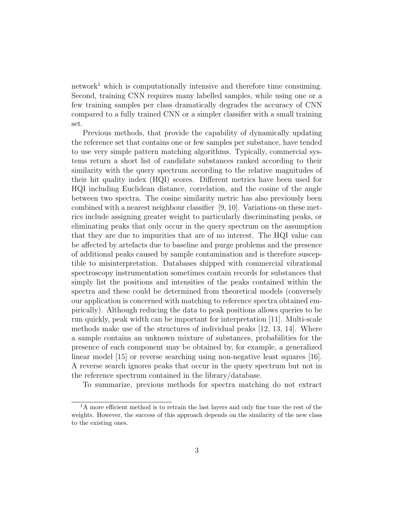network<sup>1</sup> which is computationally intensive and therefore time consuming. Second, training CNN requires many labelled samples, while using one or a few training samples per class dramatically degrades the accuracy of CNN compared to a fully trained CNN or a simpler classifier with a small training set.

Previous methods, that provide the capability of dynamically updating the reference set that contains one or few samples per substance, have tended to use very simple pattern matching algorithms. Typically, commercial systems return a short list of candidate substances ranked according to their similarity with the query spectrum according to the relative magnitudes of their hit quality index (HQI) scores. Different metrics have been used for HQI including Euclidean distance, correlation, and the cosine of the angle between two spectra. The cosine similarity metric has also previously been combined with a nearest neighbour classifier [9, 10]. Variations on these metrics include assigning greater weight to particularly discriminating peaks, or eliminating peaks that only occur in the query spectrum on the assumption that they are due to impurities that are of no interest. The HQI value can be affected by artefacts due to baseline and purge problems and the presence of additional peaks caused by sample contamination and is therefore susceptible to misinterpretation. Databases shipped with commercial vibrational spectroscopy instrumentation sometimes contain records for substances that simply list the positions and intensities of the peaks contained within the spectra and these could be determined from theoretical models (conversely our application is concerned with matching to reference spectra obtained empirically). Although reducing the data to peak positions allows queries to be run quickly, peak width can be important for interpretation [11]. Multi-scale methods make use of the structures of individual peaks [12, 13, 14]. Where a sample contains an unknown mixture of substances, probabilities for the presence of each component may be obtained by, for example, a generalized linear model [15] or reverse searching using non-negative least squares [16]. A reverse search ignores peaks that occur in the query spectrum but not in the reference spectrum contained in the library/database.

To summarize, previous methods for spectra matching do not extract

<sup>&</sup>lt;sup>1</sup>A more efficient method is to retrain the last layers and only fine tune the rest of the weights. However, the success of this approach depends on the similarity of the new class to the existing ones.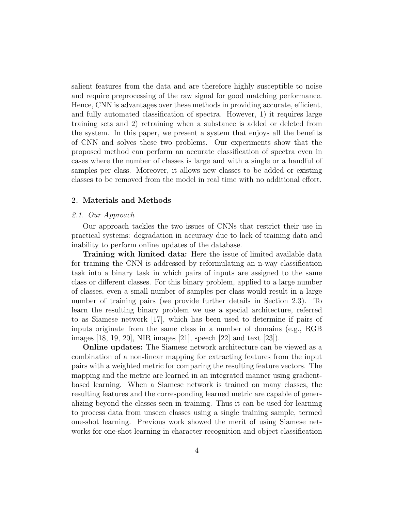salient features from the data and are therefore highly susceptible to noise and require preprocessing of the raw signal for good matching performance. Hence, CNN is advantages over these methods in providing accurate, efficient, and fully automated classification of spectra. However, 1) it requires large training sets and 2) retraining when a substance is added or deleted from the system. In this paper, we present a system that enjoys all the benefits of CNN and solves these two problems. Our experiments show that the proposed method can perform an accurate classification of spectra even in cases where the number of classes is large and with a single or a handful of samples per class. Moreover, it allows new classes to be added or existing classes to be removed from the model in real time with no additional effort.

#### 2. Materials and Methods

#### *2.1. Our Approach*

Our approach tackles the two issues of CNNs that restrict their use in practical systems: degradation in accuracy due to lack of training data and inability to perform online updates of the database.

Training with limited data: Here the issue of limited available data for training the CNN is addressed by reformulating an n-way classification task into a binary task in which pairs of inputs are assigned to the same class or different classes. For this binary problem, applied to a large number of classes, even a small number of samples per class would result in a large number of training pairs (we provide further details in Section 2.3). To learn the resulting binary problem we use a special architecture, referred to as Siamese network [17], which has been used to determine if pairs of inputs originate from the same class in a number of domains (e.g., RGB images [18, 19, 20], NIR images [21], speech [22] and text [23]).

Online updates: The Siamese network architecture can be viewed as a combination of a non-linear mapping for extracting features from the input pairs with a weighted metric for comparing the resulting feature vectors. The mapping and the metric are learned in an integrated manner using gradientbased learning. When a Siamese network is trained on many classes, the resulting features and the corresponding learned metric are capable of generalizing beyond the classes seen in training. Thus it can be used for learning to process data from unseen classes using a single training sample, termed one-shot learning. Previous work showed the merit of using Siamese networks for one-shot learning in character recognition and object classification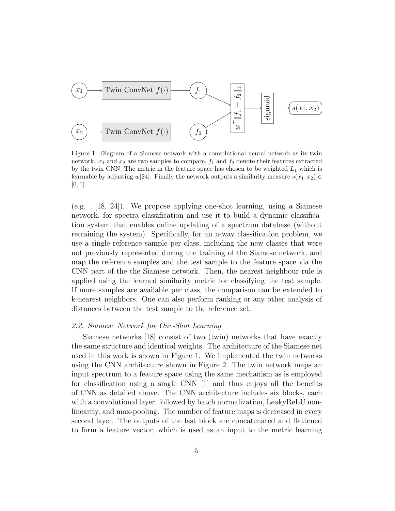

Figure 1: Diagram of a Siamese network with a convolutional neural network as its twin network.  $x_1$  and  $x_2$  are two samples to compare,  $f_1$  and  $f_2$  denote their features extracted by the twin CNN. The metric in the feature space has chosen to be weighted  $L_1$  which is learnable by adjusting w[24]. Finally the network outputs a similarity measure  $s(x_1, x_2) \in$  $[0, 1]$ .

(e.g. [18, 24]). We propose applying one-shot learning, using a Siamese network, for spectra classification and use it to build a dynamic classification system that enables online updating of a spectrum database (without retraining the system). Specifically, for an n-way classification problem, we use a single reference sample per class, including the new classes that were not previously represented during the training of the Siamese network, and map the reference samples and the test sample to the feature space via the CNN part of the the Siamese network. Then, the nearest neighbour rule is applied using the learned similarity metric for classifying the test sample. If more samples are available per class, the comparison can be extended to k-nearest neighbors. One can also perform ranking or any other analysis of distances between the test sample to the reference set.

#### *2.2. Siamese Network for One-Shot Learning*

Siamese networks [18] consist of two (twin) networks that have exactly the same structure and identical weights. The architecture of the Siamese net used in this work is shown in Figure 1. We implemented the twin networks using the CNN architecture shown in Figure 2. The twin network maps an input spectrum to a feature space using the same mechanism as is employed for classification using a single CNN [1] and thus enjoys all the benefits of CNN as detailed above. The CNN architecture includes six blocks, each with a convolutional layer, followed by batch normalization, LeakyReLU nonlinearity, and max-pooling. The number of feature maps is decreased in every second layer. The outputs of the last block are concatenated and flattened to form a feature vector, which is used as an input to the metric learning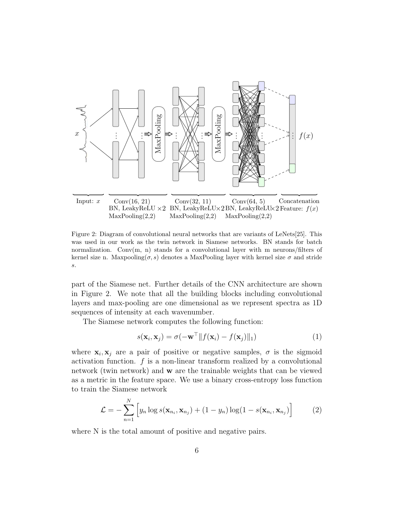

Figure 2: Diagram of convolutional neural networks that are variants of LeNets[25]. This was used in our work as the twin network in Siamese networks. BN stands for batch normalization. Conv $(m, n)$  stands for a convolutional layer with m neurons/filters of kernel size n. Maxpooling( $\sigma$ , s) denotes a MaxPooling layer with kernel size  $\sigma$  and stride s.

part of the Siamese net. Further details of the CNN architecture are shown in Figure 2. We note that all the building blocks including convolutional layers and max-pooling are one dimensional as we represent spectra as 1D sequences of intensity at each wavenumber.

The Siamese network computes the following function:

$$
s(\mathbf{x}_i, \mathbf{x}_j) = \sigma(-\mathbf{w}^\top \| f(\mathbf{x}_i) - f(\mathbf{x}_j) \|_1)
$$
(1)

where  $\mathbf{x}_i, \mathbf{x}_j$  are a pair of positive or negative samples,  $\sigma$  is the sigmoid activation function.  $f$  is a non-linear transform realized by a convolutional network (twin network) and w are the trainable weights that can be viewed as a metric in the feature space. We use a binary cross-entropy loss function to train the Siamese network

$$
\mathcal{L} = -\sum_{n=1}^{N} \left[ y_n \log s(\mathbf{x}_{n_i}, \mathbf{x}_{n_j}) + (1 - y_n) \log(1 - s(\mathbf{x}_{n_i}, \mathbf{x}_{n_j}) \right]
$$
(2)

where N is the total amount of positive and negative pairs.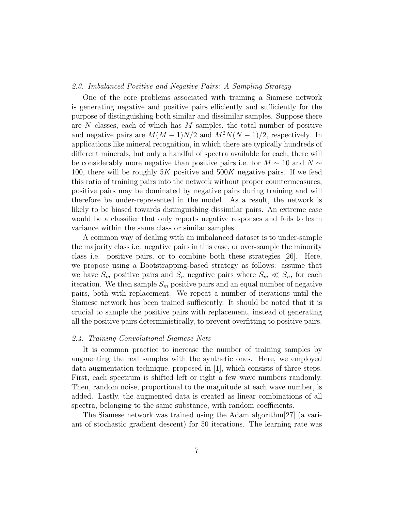#### *2.3. Imbalanced Positive and Negative Pairs: A Sampling Strategy*

One of the core problems associated with training a Siamese network is generating negative and positive pairs efficiently and sufficiently for the purpose of distinguishing both similar and dissimilar samples. Suppose there are  $N$  classes, each of which has  $M$  samples, the total number of positive and negative pairs are  $M(M-1)N/2$  and  $M^2N(N-1)/2$ , respectively. In applications like mineral recognition, in which there are typically hundreds of different minerals, but only a handful of spectra available for each, there will be considerably more negative than positive pairs i.e. for  $M \sim 10$  and  $N \sim$ 100, there will be roughly  $5K$  positive and  $500K$  negative pairs. If we feed this ratio of training pairs into the network without proper countermeasures, positive pairs may be dominated by negative pairs during training and will therefore be under-represented in the model. As a result, the network is likely to be biased towards distinguishing dissimilar pairs. An extreme case would be a classifier that only reports negative responses and fails to learn variance within the same class or similar samples.

A common way of dealing with an imbalanced dataset is to under-sample the majority class i.e. negative pairs in this case, or over-sample the minority class i.e. positive pairs, or to combine both these strategies [26]. Here, we propose using a Bootstrapping-based strategy as follows: assume that we have  $S_m$  positive pairs and  $S_n$  negative pairs where  $S_m \ll S_n$ , for each iteration. We then sample  $S_m$  positive pairs and an equal number of negative pairs, both with replacement. We repeat a number of iterations until the Siamese network has been trained sufficiently. It should be noted that it is crucial to sample the positive pairs with replacement, instead of generating all the positive pairs deterministically, to prevent overfitting to positive pairs.

#### *2.4. Training Convolutional Siamese Nets*

It is common practice to increase the number of training samples by augmenting the real samples with the synthetic ones. Here, we employed data augmentation technique, proposed in [1], which consists of three steps. First, each spectrum is shifted left or right a few wave numbers randomly. Then, random noise, proportional to the magnitude at each wave number, is added. Lastly, the augmented data is created as linear combinations of all spectra, belonging to the same substance, with random coefficients.

The Siamese network was trained using the Adam algorithm[27] (a variant of stochastic gradient descent) for 50 iterations. The learning rate was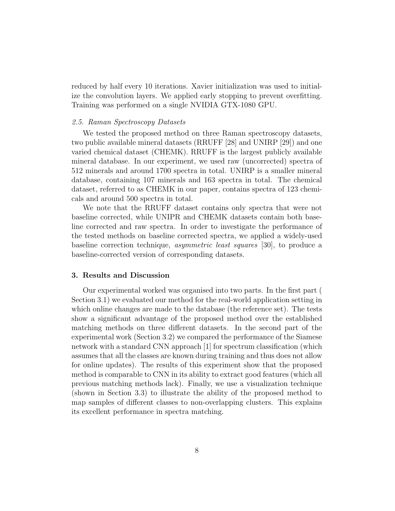reduced by half every 10 iterations. Xavier initialization was used to initialize the convolution layers. We applied early stopping to prevent overfitting. Training was performed on a single NVIDIA GTX-1080 GPU.

#### *2.5. Raman Spectroscopy Datasets*

We tested the proposed method on three Raman spectroscopy datasets, two public available mineral datasets (RRUFF [28] and UNIRP [29]) and one varied chemical dataset (CHEMK). RRUFF is the largest publicly available mineral database. In our experiment, we used raw (uncorrected) spectra of 512 minerals and around 1700 spectra in total. UNIRP is a smaller mineral database, containing 107 minerals and 163 spectra in total. The chemical dataset, referred to as CHEMK in our paper, contains spectra of 123 chemicals and around 500 spectra in total.

We note that the RRUFF dataset contains only spectra that were not baseline corrected, while UNIPR and CHEMK datasets contain both baseline corrected and raw spectra. In order to investigate the performance of the tested methods on baseline corrected spectra, we applied a widely-used baseline correction technique, *asymmetric least squares* [30], to produce a baseline-corrected version of corresponding datasets.

#### 3. Results and Discussion

Our experimental worked was organised into two parts. In the first part ( Section 3.1) we evaluated our method for the real-world application setting in which online changes are made to the database (the reference set). The tests show a significant advantage of the proposed method over the established matching methods on three different datasets. In the second part of the experimental work (Section 3.2) we compared the performance of the Siamese network with a standard CNN approach [1] for spectrum classification (which assumes that all the classes are known during training and thus does not allow for online updates). The results of this experiment show that the proposed method is comparable to CNN in its ability to extract good features (which all previous matching methods lack). Finally, we use a visualization technique (shown in Section 3.3) to illustrate the ability of the proposed method to map samples of different classes to non-overlapping clusters. This explains its excellent performance in spectra matching.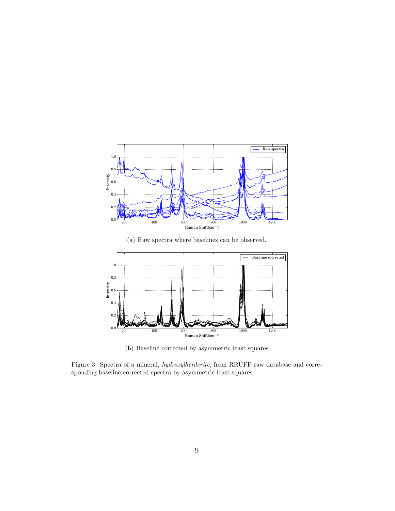

(a) Raw spectra where baselines can be observed.



(b) Baseline corrected by asymmetric least squares

Figure 3: Spectra of a mineral, *hydroxylherderite*, from RRUFF raw database and corresponding baseline corrected spectra by asymmetric least squares.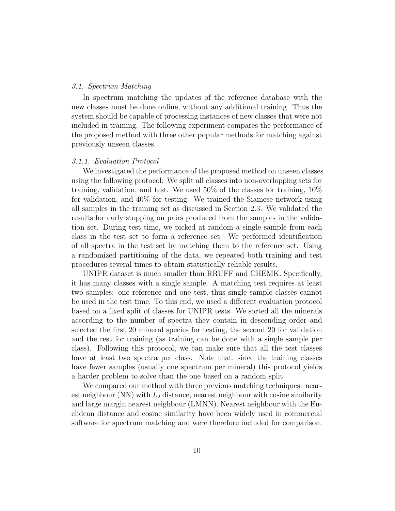#### *3.1. Spectrum Matching*

In spectrum matching the updates of the reference database with the new classes must be done online, without any additional training. Thus the system should be capable of processing instances of new classes that were not included in training. The following experiment compares the performance of the proposed method with three other popular methods for matching against previously unseen classes.

#### *3.1.1. Evaluation Protocol*

We investigated the performance of the proposed method on unseen classes using the following protocol: We split all classes into non-overlapping sets for training, validation, and test. We used 50% of the classes for training, 10% for validation, and 40% for testing. We trained the Siamese network using all samples in the training set as discussed in Section 2.3. We validated the results for early stopping on pairs produced from the samples in the validation set. During test time, we picked at random a single sample from each class in the test set to form a reference set. We performed identification of all spectra in the test set by matching them to the reference set. Using a randomized partitioning of the data, we repeated both training and test procedures several times to obtain statistically reliable results.

UNIPR dataset is much smaller than RRUFF and CHEMK. Specifically, it has many classes with a single sample. A matching test requires at least two samples: one reference and one test, thus single sample classes cannot be used in the test time. To this end, we used a different evaluation protocol based on a fixed split of classes for UNIPR tests. We sorted all the minerals according to the number of spectra they contain in descending order and selected the first 20 mineral species for testing, the second 20 for validation and the rest for training (as training can be done with a single sample per class). Following this protocol, we can make sure that all the test classes have at least two spectra per class. Note that, since the training classes have fewer samples (usually one spectrum per mineral) this protocol yields a harder problem to solve than the one based on a random split.

We compared our method with three previous matching techniques: nearest neighbour (NN) with  $L_2$  distance, nearest neighbour with cosine similarity and large margin nearest neighbour (LMNN). Nearest neighbour with the Euclidean distance and cosine similarity have been widely used in commercial software for spectrum matching and were therefore included for comparison.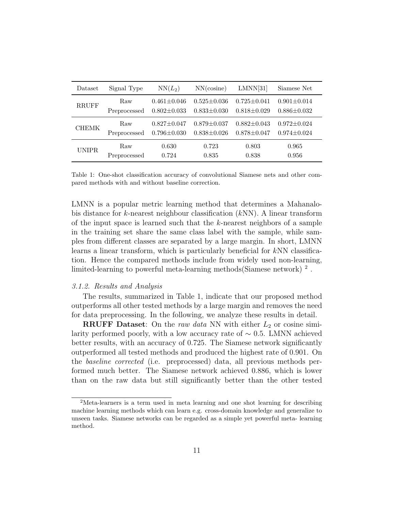| Dataset      | Signal Type  | $NN(L_2)$         | NN(cosine)        | LMNN[31]          | Siamese Net       |
|--------------|--------------|-------------------|-------------------|-------------------|-------------------|
| <b>RRUFF</b> | Raw          | $0.461 \pm 0.046$ | $0.525 \pm 0.036$ | $0.725 \pm 0.041$ | $0.901 \pm 0.014$ |
|              | Preprocessed | $0.802 \pm 0.033$ | $0.833 \pm 0.030$ | $0.818 \pm 0.029$ | $0.886 \pm 0.032$ |
| <b>CHEMK</b> | Raw          | $0.827 \pm 0.047$ | $0.879 \pm 0.037$ | $0.882 \pm 0.043$ | $0.972 \pm 0.024$ |
|              | Preprocessed | $0.796 \pm 0.030$ | $0.838 \pm 0.026$ | $0.878 \pm 0.047$ | $0.974 \pm 0.024$ |
| <b>UNIPR</b> | Raw          | 0.630             | 0.723             | 0.803             | 0.965             |
|              | Preprocessed | 0.724             | 0.835             | 0.838             | 0.956             |

Table 1: One-shot classification accuracy of convolutional Siamese nets and other compared methods with and without baseline correction.

LMNN is a popular metric learning method that determines a Mahanalobis distance for k-nearest neighbour classification  $(kNN)$ . A linear transform of the input space is learned such that the  $k$ -nearest neighbors of a sample in the training set share the same class label with the sample, while samples from different classes are separated by a large margin. In short, LMNN learns a linear transform, which is particularly beneficial for kNN classification. Hence the compared methods include from widely used non-learning, limited-learning to powerful meta-learning methods(Siamese network)<sup>2</sup>.

#### *3.1.2. Results and Analysis*

The results, summarized in Table 1, indicate that our proposed method outperforms all other tested methods by a large margin and removes the need for data preprocessing. In the following, we analyze these results in detail.

**RRUFF** Dataset: On the *raw data* NN with either  $L_2$  or cosine similarity performed poorly, with a low accuracy rate of  $\sim$  0.5. LMNN achieved better results, with an accuracy of 0.725. The Siamese network significantly outperformed all tested methods and produced the highest rate of 0.901. On the *baseline corrected* (i.e. preprocessed) data, all previous methods performed much better. The Siamese network achieved 0.886, which is lower than on the raw data but still significantly better than the other tested

<sup>2</sup>Meta-learners is a term used in meta learning and one shot learning for describing machine learning methods which can learn e.g. cross-domain knowledge and generalize to unseen tasks. Siamese networks can be regarded as a simple yet powerful meta- learning method.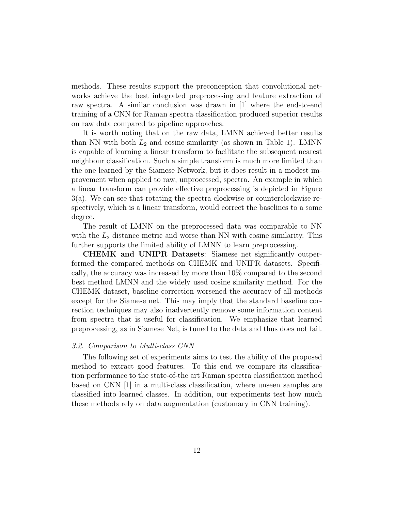methods. These results support the preconception that convolutional networks achieve the best integrated preprocessing and feature extraction of raw spectra. A similar conclusion was drawn in [1] where the end-to-end training of a CNN for Raman spectra classification produced superior results on raw data compared to pipeline approaches.

It is worth noting that on the raw data, LMNN achieved better results than NN with both  $L_2$  and cosine similarity (as shown in Table 1). LMNN is capable of learning a linear transform to facilitate the subsequent nearest neighbour classification. Such a simple transform is much more limited than the one learned by the Siamese Network, but it does result in a modest improvement when applied to raw, unprocessed, spectra. An example in which a linear transform can provide effective preprocessing is depicted in Figure 3(a). We can see that rotating the spectra clockwise or counterclockwise respectively, which is a linear transform, would correct the baselines to a some degree.

The result of LMNN on the preprocessed data was comparable to NN with the  $L_2$  distance metric and worse than NN with cosine similarity. This further supports the limited ability of LMNN to learn preprocessing.

CHEMK and UNIPR Datasets: Siamese net significantly outperformed the compared methods on CHEMK and UNIPR datasets. Specifically, the accuracy was increased by more than 10% compared to the second best method LMNN and the widely used cosine similarity method. For the CHEMK dataset, baseline correction worsened the accuracy of all methods except for the Siamese net. This may imply that the standard baseline correction techniques may also inadvertently remove some information content from spectra that is useful for classification. We emphasize that learned preprocessing, as in Siamese Net, is tuned to the data and thus does not fail.

#### *3.2. Comparison to Multi-class CNN*

The following set of experiments aims to test the ability of the proposed method to extract good features. To this end we compare its classification performance to the state-of-the art Raman spectra classification method based on CNN [1] in a multi-class classification, where unseen samples are classified into learned classes. In addition, our experiments test how much these methods rely on data augmentation (customary in CNN training).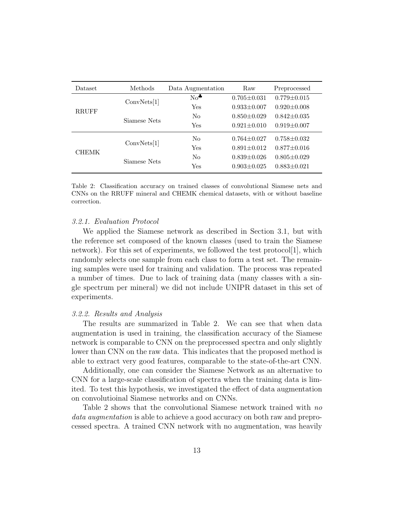| Dataset      | Methods      | Data Augmentation | Raw               | Preprocessed      |
|--------------|--------------|-------------------|-------------------|-------------------|
|              | ConvNets[1]  | $No^*$            | $0.705 \pm 0.031$ | $0.779 \pm 0.015$ |
| <b>RRUFF</b> |              | Yes               | $0.933 \pm 0.007$ | $0.920 \pm 0.008$ |
|              | Siamese Nets | $\rm No$          | $0.850 \pm 0.029$ | $0.842 \pm 0.035$ |
|              |              | Yes               | $0.921 \pm 0.010$ | $0.919 \pm 0.007$ |
|              | ConvNets[1]  | N <sub>0</sub>    | $0.764 \pm 0.027$ | $0.758 \pm 0.032$ |
| <b>CHEMK</b> |              | Yes               | $0.891 \pm 0.012$ | $0.877 \pm 0.016$ |
|              | Siamese Nets | $\rm No$          | $0.839 \pm 0.026$ | $0.805 \pm 0.029$ |
|              |              | Yes               | $0.903 \pm 0.025$ | $0.883 \pm 0.021$ |

Table 2: Classification accuracy on trained classes of convolutional Siamese nets and CNNs on the RRUFF mineral and CHEMK chemical datasets, with or without baseline correction.

#### *3.2.1. Evaluation Protocol*

We applied the Siamese network as described in Section 3.1, but with the reference set composed of the known classes (used to train the Siamese network). For this set of experiments, we followed the test protocol  $|1|$ , which randomly selects one sample from each class to form a test set. The remaining samples were used for training and validation. The process was repeated a number of times. Due to lack of training data (many classes with a single spectrum per mineral) we did not include UNIPR dataset in this set of experiments.

#### *3.2.2. Results and Analysis*

The results are summarized in Table 2. We can see that when data augmentation is used in training, the classification accuracy of the Siamese network is comparable to CNN on the preprocessed spectra and only slightly lower than CNN on the raw data. This indicates that the proposed method is able to extract very good features, comparable to the state-of-the-art CNN.

Additionally, one can consider the Siamese Network as an alternative to CNN for a large-scale classification of spectra when the training data is limited. To test this hypothesis, we investigated the effect of data augmentation on convolutioinal Siamese networks and on CNNs.

Table 2 shows that the convolutional Siamese network trained with *no data augmentation* is able to achieve a good accuracy on both raw and preprocessed spectra. A trained CNN network with no augmentation, was heavily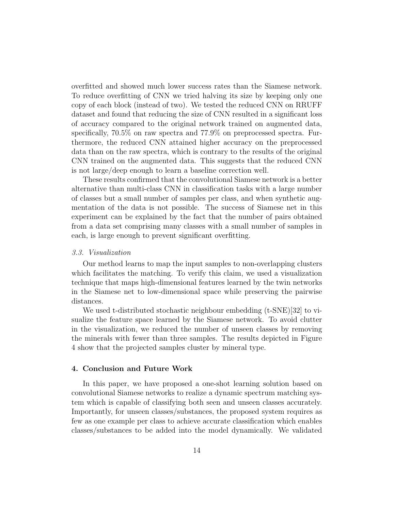overfitted and showed much lower success rates than the Siamese network. To reduce overfitting of CNN we tried halving its size by keeping only one copy of each block (instead of two). We tested the reduced CNN on RRUFF dataset and found that reducing the size of CNN resulted in a significant loss of accuracy compared to the original network trained on augmented data, specifically, 70.5% on raw spectra and 77.9% on preprocessed spectra. Furthermore, the reduced CNN attained higher accuracy on the preprocessed data than on the raw spectra, which is contrary to the results of the original CNN trained on the augmented data. This suggests that the reduced CNN is not large/deep enough to learn a baseline correction well.

These results confirmed that the convolutional Siamese network is a better alternative than multi-class CNN in classification tasks with a large number of classes but a small number of samples per class, and when synthetic augmentation of the data is not possible. The success of Siamese net in this experiment can be explained by the fact that the number of pairs obtained from a data set comprising many classes with a small number of samples in each, is large enough to prevent significant overfitting.

#### *3.3. Visualization*

Our method learns to map the input samples to non-overlapping clusters which facilitates the matching. To verify this claim, we used a visualization technique that maps high-dimensional features learned by the twin networks in the Siamese net to low-dimensional space while preserving the pairwise distances.

We used t-distributed stochastic neighbour embedding (t-SNE)[32] to visualize the feature space learned by the Siamese network. To avoid clutter in the visualization, we reduced the number of unseen classes by removing the minerals with fewer than three samples. The results depicted in Figure 4 show that the projected samples cluster by mineral type.

#### 4. Conclusion and Future Work

In this paper, we have proposed a one-shot learning solution based on convolutional Siamese networks to realize a dynamic spectrum matching system which is capable of classifying both seen and unseen classes accurately. Importantly, for unseen classes/substances, the proposed system requires as few as one example per class to achieve accurate classification which enables classes/substances to be added into the model dynamically. We validated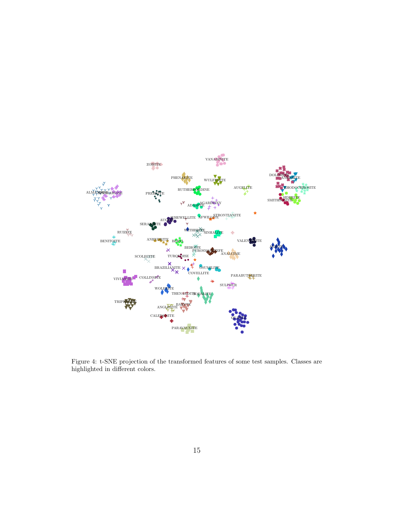

Figure 4: t-SNE projection of the transformed features of some test samples. Classes are highlighted in different colors.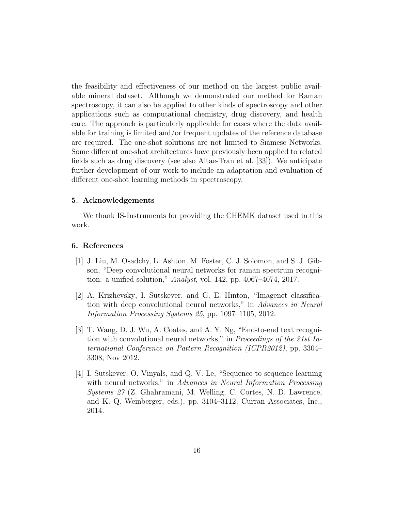the feasibility and effectiveness of our method on the largest public available mineral dataset. Although we demonstrated our method for Raman spectroscopy, it can also be applied to other kinds of spectroscopy and other applications such as computational chemistry, drug discovery, and health care. The approach is particularly applicable for cases where the data available for training is limited and/or frequent updates of the reference database are required. The one-shot solutions are not limited to Siamese Networks. Some different one-shot architectures have previously been applied to related fields such as drug discovery (see also Altae-Tran et al. [33]). We anticipate further development of our work to include an adaptation and evaluation of different one-shot learning methods in spectroscopy.

#### 5. Acknowledgements

We thank IS-Instruments for providing the CHEMK dataset used in this work.

#### 6. References

- [1] J. Liu, M. Osadchy, L. Ashton, M. Foster, C. J. Solomon, and S. J. Gibson, "Deep convolutional neural networks for raman spectrum recognition: a unified solution," *Analyst*, vol. 142, pp. 4067–4074, 2017.
- [2] A. Krizhevsky, I. Sutskever, and G. E. Hinton, "Imagenet classification with deep convolutional neural networks," in *Advances in Neural Information Processing Systems 25*, pp. 1097–1105, 2012.
- [3] T. Wang, D. J. Wu, A. Coates, and A. Y. Ng, "End-to-end text recognition with convolutional neural networks," in *Proceedings of the 21st International Conference on Pattern Recognition (ICPR2012)*, pp. 3304– 3308, Nov 2012.
- [4] I. Sutskever, O. Vinyals, and Q. V. Le, "Sequence to sequence learning with neural networks," in *Advances in Neural Information Processing Systems 27* (Z. Ghahramani, M. Welling, C. Cortes, N. D. Lawrence, and K. Q. Weinberger, eds.), pp. 3104–3112, Curran Associates, Inc., 2014.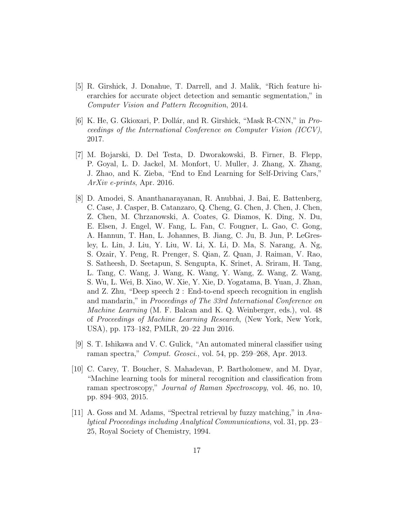- [5] R. Girshick, J. Donahue, T. Darrell, and J. Malik, "Rich feature hierarchies for accurate object detection and semantic segmentation," in *Computer Vision and Pattern Recognition*, 2014.
- [6] K. He, G. Gkioxari, P. Dollár, and R. Girshick, "Mask R-CNN," in *Proceedings of the International Conference on Computer Vision (ICCV)*, 2017.
- [7] M. Bojarski, D. Del Testa, D. Dworakowski, B. Firner, B. Flepp, P. Goyal, L. D. Jackel, M. Monfort, U. Muller, J. Zhang, X. Zhang, J. Zhao, and K. Zieba, "End to End Learning for Self-Driving Cars," *ArXiv e-prints*, Apr. 2016.
- [8] D. Amodei, S. Ananthanarayanan, R. Anubhai, J. Bai, E. Battenberg, C. Case, J. Casper, B. Catanzaro, Q. Cheng, G. Chen, J. Chen, J. Chen, Z. Chen, M. Chrzanowski, A. Coates, G. Diamos, K. Ding, N. Du, E. Elsen, J. Engel, W. Fang, L. Fan, C. Fougner, L. Gao, C. Gong, A. Hannun, T. Han, L. Johannes, B. Jiang, C. Ju, B. Jun, P. LeGresley, L. Lin, J. Liu, Y. Liu, W. Li, X. Li, D. Ma, S. Narang, A. Ng, S. Ozair, Y. Peng, R. Prenger, S. Qian, Z. Quan, J. Raiman, V. Rao, S. Satheesh, D. Seetapun, S. Sengupta, K. Srinet, A. Sriram, H. Tang, L. Tang, C. Wang, J. Wang, K. Wang, Y. Wang, Z. Wang, Z. Wang, S. Wu, L. Wei, B. Xiao, W. Xie, Y. Xie, D. Yogatama, B. Yuan, J. Zhan, and Z. Zhu, "Deep speech 2 : End-to-end speech recognition in english and mandarin," in *Proceedings of The 33rd International Conference on Machine Learning* (M. F. Balcan and K. Q. Weinberger, eds.), vol. 48 of *Proceedings of Machine Learning Research*, (New York, New York, USA), pp. 173–182, PMLR, 20–22 Jun 2016.
- [9] S. T. Ishikawa and V. C. Gulick, "An automated mineral classifier using raman spectra," *Comput. Geosci.*, vol. 54, pp. 259–268, Apr. 2013.
- [10] C. Carey, T. Boucher, S. Mahadevan, P. Bartholomew, and M. Dyar, "Machine learning tools for mineral recognition and classification from raman spectroscopy," *Journal of Raman Spectroscopy*, vol. 46, no. 10, pp. 894–903, 2015.
- [11] A. Goss and M. Adams, "Spectral retrieval by fuzzy matching," in *Analytical Proceedings including Analytical Communications*, vol. 31, pp. 23– 25, Royal Society of Chemistry, 1994.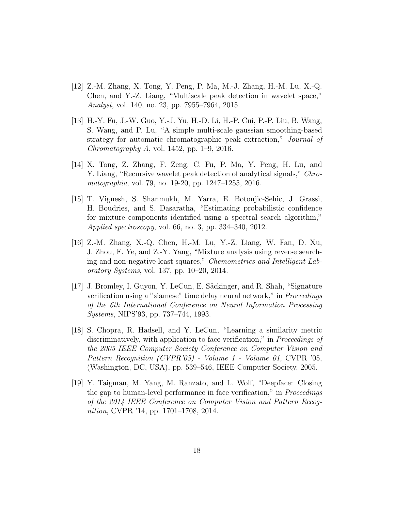- [12] Z.-M. Zhang, X. Tong, Y. Peng, P. Ma, M.-J. Zhang, H.-M. Lu, X.-Q. Chen, and Y.-Z. Liang, "Multiscale peak detection in wavelet space," *Analyst*, vol. 140, no. 23, pp. 7955–7964, 2015.
- [13] H.-Y. Fu, J.-W. Guo, Y.-J. Yu, H.-D. Li, H.-P. Cui, P.-P. Liu, B. Wang, S. Wang, and P. Lu, "A simple multi-scale gaussian smoothing-based strategy for automatic chromatographic peak extraction," *Journal of Chromatography A*, vol. 1452, pp. 1–9, 2016.
- [14] X. Tong, Z. Zhang, F. Zeng, C. Fu, P. Ma, Y. Peng, H. Lu, and Y. Liang, "Recursive wavelet peak detection of analytical signals," *Chromatographia*, vol. 79, no. 19-20, pp. 1247–1255, 2016.
- [15] T. Vignesh, S. Shanmukh, M. Yarra, E. Botonjic-Sehic, J. Grassi, H. Boudries, and S. Dasaratha, "Estimating probabilistic confidence for mixture components identified using a spectral search algorithm," *Applied spectroscopy*, vol. 66, no. 3, pp. 334–340, 2012.
- [16] Z.-M. Zhang, X.-Q. Chen, H.-M. Lu, Y.-Z. Liang, W. Fan, D. Xu, J. Zhou, F. Ye, and Z.-Y. Yang, "Mixture analysis using reverse searching and non-negative least squares," *Chemometrics and Intelligent Laboratory Systems*, vol. 137, pp. 10–20, 2014.
- [17] J. Bromley, I. Guyon, Y. LeCun, E. Säckinger, and R. Shah, "Signature" verification using a "siamese" time delay neural network," in *Proceedings of the 6th International Conference on Neural Information Processing Systems*, NIPS'93, pp. 737–744, 1993.
- [18] S. Chopra, R. Hadsell, and Y. LeCun, "Learning a similarity metric discriminatively, with application to face verification," in *Proceedings of the 2005 IEEE Computer Society Conference on Computer Vision and Pattern Recognition (CVPR'05) - Volume 1 - Volume 01*, CVPR '05, (Washington, DC, USA), pp. 539–546, IEEE Computer Society, 2005.
- [19] Y. Taigman, M. Yang, M. Ranzato, and L. Wolf, "Deepface: Closing the gap to human-level performance in face verification," in *Proceedings of the 2014 IEEE Conference on Computer Vision and Pattern Recognition*, CVPR '14, pp. 1701–1708, 2014.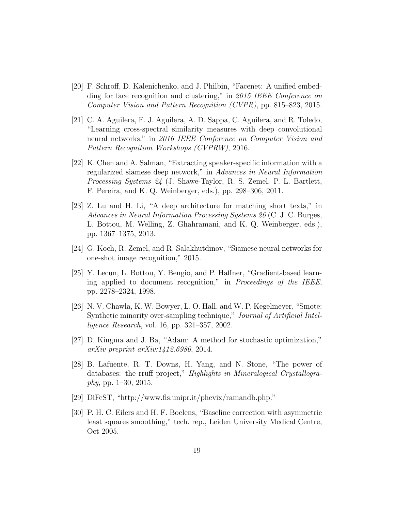- [20] F. Schroff, D. Kalenichenko, and J. Philbin, "Facenet: A unified embedding for face recognition and clustering," in *2015 IEEE Conference on Computer Vision and Pattern Recognition (CVPR)*, pp. 815–823, 2015.
- [21] C. A. Aguilera, F. J. Aguilera, A. D. Sappa, C. Aguilera, and R. Toledo, "Learning cross-spectral similarity measures with deep convolutional neural networks," in *2016 IEEE Conference on Computer Vision and Pattern Recognition Workshops (CVPRW)*, 2016.
- [22] K. Chen and A. Salman, "Extracting speaker-specific information with a regularized siamese deep network," in *Advances in Neural Information Processing Systems 24* (J. Shawe-Taylor, R. S. Zemel, P. L. Bartlett, F. Pereira, and K. Q. Weinberger, eds.), pp. 298–306, 2011.
- [23] Z. Lu and H. Li, "A deep architecture for matching short texts," in *Advances in Neural Information Processing Systems 26* (C. J. C. Burges, L. Bottou, M. Welling, Z. Ghahramani, and K. Q. Weinberger, eds.), pp. 1367–1375, 2013.
- [24] G. Koch, R. Zemel, and R. Salakhutdinov, "Siamese neural networks for one-shot image recognition," 2015.
- [25] Y. Lecun, L. Bottou, Y. Bengio, and P. Haffner, "Gradient-based learning applied to document recognition," in *Proceedings of the IEEE*, pp. 2278–2324, 1998.
- [26] N. V. Chawla, K. W. Bowyer, L. O. Hall, and W. P. Kegelmeyer, "Smote: Synthetic minority over-sampling technique," *Journal of Artificial Intelligence Research*, vol. 16, pp. 321–357, 2002.
- [27] D. Kingma and J. Ba, "Adam: A method for stochastic optimization," *arXiv preprint arXiv:1412.6980*, 2014.
- [28] B. Lafuente, R. T. Downs, H. Yang, and N. Stone, "The power of databases: the rruff project," *Highlights in Mineralogical Crystallography*, pp. 1–30, 2015.
- [29] DiFeST, "http://www.fis.unipr.it/phevix/ramandb.php."
- [30] P. H. C. Eilers and H. F. Boelens, "Baseline correction with asymmetric least squares smoothing," tech. rep., Leiden University Medical Centre, Oct 2005.